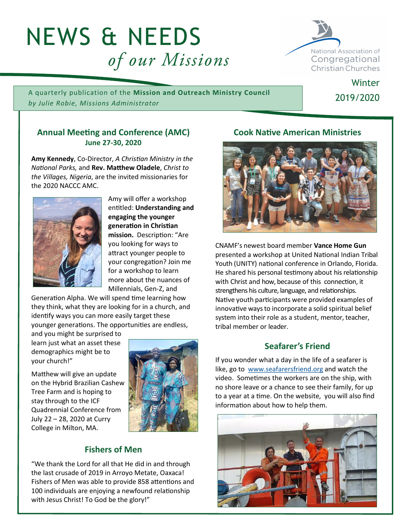# NEWS & NEEDS of our Missions



**Winter** 

2019/2020

A quarterly publication of the **Mission and Outreach Ministry Council** *by Julie Robie, Missions Administrator*

## **Annual Meeting and Conference (AMC) June 27-30, 2020**

**Amy Kennedy**, Co-Director, *A Christian Ministry in the National Parks,* and **Rev. Matthew Oladele**, *Christ to the Villages, Nigeria*, are the invited missionaries for the 2020 NACCC AMC.



Amy will offer a workshop entitled: **Understanding and engaging the younger generation in Christian mission.** Description: "Are you looking for ways to attract younger people to your congregation? Join me for a workshop to learn more about the nuances of Millennials, Gen-Z, and

Generation Alpha. We will spend time learning how they think, what they are looking for in a church, and identify ways you can more easily target these younger generations. The opportunities are endless,

and you might be surprised to learn just what an asset these demographics might be to your church!"

Matthew will give an update on the Hybrid Brazilian Cashew Tree Farm and is hoping to stay through to the ICF Quadrennial Conference from July 22 – 28, 2020 at Curry College in Milton, MA.



# **Fishers of Men**

"We thank the Lord for all that He did in and through the last crusade of 2019 in Arroyo Metate, Oaxaca! Fishers of Men was able to provide 858 attentions and 100 individuals are enjoying a newfound relationship with Jesus Christ! To God be the glory!"

# **Cook Native American Ministries**



CNAMF's newest board member **Vance Home Gun** presented a workshop at United National Indian Tribal Youth (UNITY) national conference in Orlando, Florida. He shared his personal testimony about his relationship with Christ and how, because of this connection, it strengthens his culture, language, and relationships. Native youth participants were provided examples of innovative ways to incorporate a solid spiritual belief system into their role as a student, mentor, teacher, tribal member or leader.

## **Seafarer's Friend**

If you wonder what a day in the life of a seafarer is like, go to [www.seafarersfriend.org](http://www.seafarersfriend.org) and watch the video. Sometimes the workers are on the ship, with no shore leave or a chance to see their family, for up to a year at a time. On the website, you will also find information about how to help them.